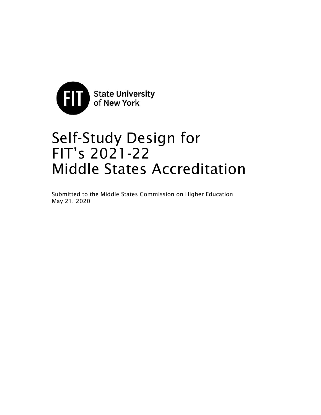

# Self-Study Design for FIT's 2021-22 Middle States Accreditation

Submitted to the Middle States Commission on Higher Education May 21, 2020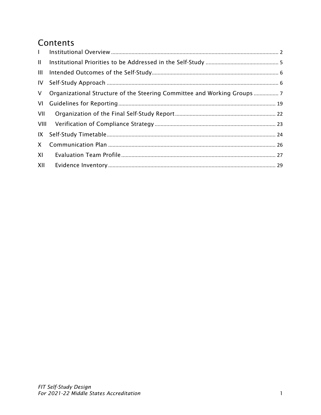# Contents

| $\mathbf{L}$ |                                                                       |
|--------------|-----------------------------------------------------------------------|
| $\mathbf{H}$ |                                                                       |
| ШL           |                                                                       |
|              |                                                                       |
| $\vee$       | Organizational Structure of the Steering Committee and Working Groups |
|              |                                                                       |
| VII          |                                                                       |
|              |                                                                       |
|              |                                                                       |
| $\mathsf{X}$ |                                                                       |
| XI           |                                                                       |
| XII          |                                                                       |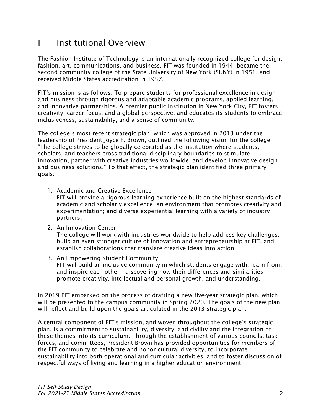# I Institutional Overview

The Fashion Institute of Technology is an internationally recognized college for design, fashion, art, communications, and business. FIT was founded in 1944, became the second community college of the State University of New York (SUNY) in 1951, and received Middle States accreditation in 1957.

FIT's mission is as follows: To prepare students for professional excellence in design and business through rigorous and adaptable academic programs, applied learning, and innovative partnerships. A premier public institution in New York City, FIT fosters creativity, career focus, and a global perspective, and educates its students to embrace inclusiveness, sustainability, and a sense of community.

The college's most recent strategic plan, which was approved in 2013 under the leadership of President Joyce F. Brown, outlined the following vision for the college: "The college strives to be globally celebrated as the institution where students, scholars, and teachers cross traditional disciplinary boundaries to stimulate innovation, partner with creative industries worldwide, and develop innovative design and business solutions." To that effect, the strategic plan identified three primary goals:

1. Academic and Creative Excellence

FIT will provide a rigorous learning experience built on the highest standards of academic and scholarly excellence; an environment that promotes creativity and experimentation; and diverse experiential learning with a variety of industry partners.

2. An Innovation Center

The college will work with industries worldwide to help address key challenges, build an even stronger culture of innovation and entrepreneurship at FIT, and establish collaborations that translate creative ideas into action.

3. An Empowering Student Community FIT will build an inclusive community in which students engage with, learn from, and inspire each other—discovering how their differences and similarities promote creativity, intellectual and personal growth, and understanding.

In 2019 FIT embarked on the process of drafting a new five-year strategic plan, which will be presented to the campus community in Spring 2020. The goals of the new plan will reflect and build upon the goals articulated in the 2013 strategic plan.

A central component of FIT's mission, and woven throughout the college's strategic plan, is a commitment to sustainability, diversity, and civility and the integration of these themes into its curriculum. Through the establishment of various councils, task forces, and committees, President Brown has provided opportunities for members of the FIT community to celebrate and honor cultural diversity, to incorporate sustainability into both operational and curricular activities, and to foster discussion of respectful ways of living and learning in a higher education environment.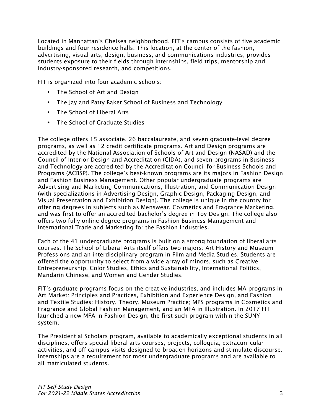Located in Manhattan's Chelsea neighborhood, FIT's campus consists of five academic buildings and four residence halls. This location, at the center of the fashion, advertising, visual arts, design, business, and communications industries, provides students exposure to their fields through internships, field trips, mentorship and industry-sponsored research, and competitions.

FIT is organized into four academic schools:

- The School of Art and Design
- The Jay and Patty Baker School of Business and Technology
- The School of Liberal Arts
- The School of Graduate Studies

The college offers 15 associate, 26 baccalaureate, and seven graduate-level degree programs, as well as 12 credit certificate programs. Art and Design programs are accredited by the National Association of Schools of Art and Design (NASAD) and the Council of Interior Design and Accreditation (CIDA), and seven programs in Business and Technology are accredited by the Accreditation Council for Business Schools and Programs (ACBSP). The college's best-known programs are its majors in Fashion Design and Fashion Business Management. Other popular undergraduate programs are Advertising and Marketing Communications, Illustration, and Communication Design (with specializations in Advertising Design, Graphic Design, Packaging Design, and Visual Presentation and Exhibition Design). The college is unique in the country for offering degrees in subjects such as Menswear, Cosmetics and Fragrance Marketing, and was first to offer an accredited bachelor's degree in Toy Design. The college also offers two fully online degree programs in Fashion Business Management and International Trade and Marketing for the Fashion Industries.

Each of the 41 undergraduate programs is built on a strong foundation of liberal arts courses. The School of Liberal Arts itself offers two majors: Art History and Museum Professions and an interdisciplinary program in Film and Media Studies. Students are offered the opportunity to select from a wide array of minors, such as Creative Entrepreneurship, Color Studies, Ethics and Sustainability, International Politics, Mandarin Chinese, and Women and Gender Studies.

FIT's graduate programs focus on the creative industries, and includes MA programs in Art Market: Principles and Practices, Exhibition and Experience Design, and Fashion and Textile Studies: History, Theory, Museum Practice; MPS programs in Cosmetics and Fragrance and Global Fashion Management, and an MFA in Illustration. In 2017 FIT launched a new MFA in Fashion Design, the first such program within the SUNY system.

The Presidential Scholars program, available to academically exceptional students in all disciplines, offers special liberal arts courses, projects, colloquia, extracurricular activities, and off-campus visits designed to broaden horizons and stimulate discourse. Internships are a requirement for most undergraduate programs and are available to all matriculated students.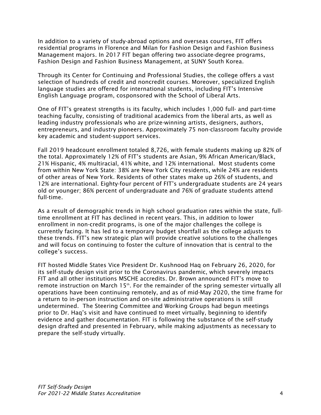In addition to a variety of study-abroad options and overseas courses, FIT offers residential programs in Florence and Milan for Fashion Design and Fashion Business Management majors. In 2017 FIT began offering two associate-degree programs, Fashion Design and Fashion Business Management, at SUNY South Korea.

Through its Center for Continuing and Professional Studies, the college offers a vast selection of hundreds of credit and noncredit courses. Moreover, specialized English language studies are offered for international students, including FIT's Intensive English Language program, cosponsored with the School of Liberal Arts.

One of FIT's greatest strengths is its faculty, which includes 1,000 full- and part-time teaching faculty, consisting of traditional academics from the liberal arts, as well as leading industry professionals who are prize-winning artists, designers, authors, entrepreneurs, and industry pioneers. Approximately 75 non-classroom faculty provide key academic and student-support services.

Fall 2019 headcount enrollment totaled 8,726, with female students making up 82% of the total. Approximately 12% of FIT's students are Asian, 9% African American/Black, 21% Hispanic, 4% multiracial, 41% white, and 12% international. Most students come from within New York State: 38% are New York City residents, while 24% are residents of other areas of New York. Residents of other states make up 26% of students, and 12% are international. Eighty-four percent of FIT's undergraduate students are 24 years old or younger; 86% percent of undergraduate and 76% of graduate students attend full-time.

As a result of demographic trends in high school graduation rates within the state, fulltime enrollment at FIT has declined in recent years. This, in addition to lower enrollment in non-credit programs, is one of the major challenges the college is currently facing. It has led to a temporary budget shortfall as the college adjusts to these trends. FIT's new strategic plan will provide creative solutions to the challenges and will focus on continuing to foster the culture of innovation that is central to the college's success.

FIT hosted Middle States Vice President Dr. Kushnood Haq on February 26, 2020, for its self-study design visit prior to the Coronavirus pandemic, which severely impacts FIT and all other institutions MSCHE accredits. Dr. Brown announced FIT's move to remote instruction on March 15<sup>th</sup>. For the remainder of the spring semester virtually all operations have been continuing remotely, and as of mid-May 2020, the time frame for a return to in-person instruction and on-site administrative operations is still undetermined. The Steering Committee and Working Groups had begun meetings prior to Dr. Haq's visit and have continued to meet virtually, beginning to identify evidence and gather documentation. FIT is following the substance of the self-study design drafted and presented in February, while making adjustments as necessary to prepare the self-study virtually.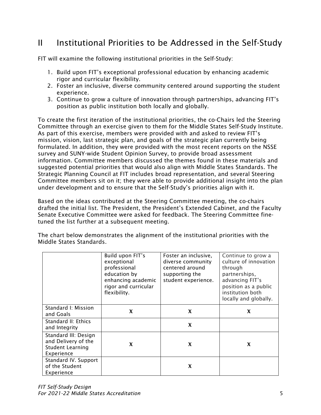# II Institutional Priorities to be Addressed in the Self-Study

FIT will examine the following institutional priorities in the Self-Study:

- 1. Build upon FIT's exceptional professional education by enhancing academic rigor and curricular flexibility.
- 2. Foster an inclusive, diverse community centered around supporting the student experience.
- 3. Continue to grow a culture of innovation through partnerships, advancing FIT's position as public institution both locally and globally.

To create the first iteration of the institutional priorities, the co-Chairs led the Steering Committee through an exercise given to them for the Middle States Self-Study Institute. As part of this exercise, members were provided with and asked to review FIT's mission, vision, last strategic plan, and goals of the strategic plan currently being formulated. In addition, they were provided with the most recent reports on the NSSE survey and SUNY-wide Student Opinion Survey, to provide broad assessment information. Committee members discussed the themes found in these materials and suggested potential priorities that would also align with Middle States Standards. The Strategic Planning Council at FIT includes broad representation, and several Steering Committee members sit on it; they were able to provide additional insight into the plan under development and to ensure that the Self-Study's priorities align with it.

Based on the ideas contributed at the Steering Committee meeting, the co-chairs drafted the initial list. The President, the President's Extended Cabinet, and the Faculty Senate Executive Committee were asked for feedback. The Steering Committee finetuned the list further at a subsequent meeting.

The chart below demonstrates the alignment of the institutional priorities with the Middle States Standards.

|                                                                                      | Build upon FIT's<br>exceptional<br>professional<br>education by<br>enhancing academic<br>rigor and curricular<br>flexibility. | Foster an inclusive,<br>diverse community<br>centered around<br>supporting the<br>student experience. | Continue to grow a<br>culture of innovation<br>through<br>partnerships,<br>advancing FIT's<br>position as a public<br>institution both<br>locally and globally. |
|--------------------------------------------------------------------------------------|-------------------------------------------------------------------------------------------------------------------------------|-------------------------------------------------------------------------------------------------------|-----------------------------------------------------------------------------------------------------------------------------------------------------------------|
| Standard I: Mission<br>and Goals                                                     | X                                                                                                                             | X                                                                                                     | X                                                                                                                                                               |
| Standard II: Ethics<br>and Integrity                                                 |                                                                                                                               | X                                                                                                     |                                                                                                                                                                 |
| Standard III: Design<br>and Delivery of the<br><b>Student Learning</b><br>Experience | X                                                                                                                             | X                                                                                                     | X                                                                                                                                                               |
| Standard IV. Support<br>of the Student<br>Experience                                 |                                                                                                                               | X                                                                                                     |                                                                                                                                                                 |

*FIT Self-Study Design For 2021-22 Middle States Accreditation* 5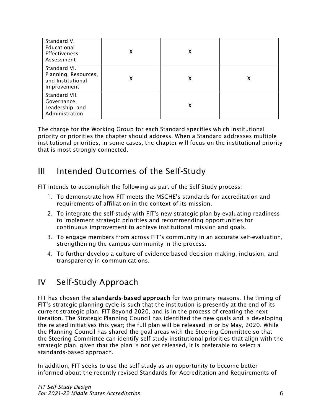| Standard V.<br>Educational<br><b>Effectiveness</b><br>Assessment         | X | X |   |
|--------------------------------------------------------------------------|---|---|---|
| Standard VI.<br>Planning, Resources,<br>and Institutional<br>Improvement | X | X | x |
| Standard VII.<br>Governance,<br>Leadership, and<br>Administration        |   | X |   |

The charge for the Working Group for each Standard specifies which institutional priority or priorities the chapter should address. When a Standard addresses multiple institutional priorities, in some cases, the chapter will focus on the institutional priority that is most strongly connected.

# III Intended Outcomes of the Self-Study

FIT intends to accomplish the following as part of the Self-Study process:

- 1. To demonstrate how FIT meets the MSCHE's standards for accreditation and requirements of affiliation in the context of its mission.
- 2. To integrate the self-study with FIT's new strategic plan by evaluating readiness to implement strategic priorities and recommending opportunities for continuous improvement to achieve institutional mission and goals.
- 3. To engage members from across FIT's community in an accurate self-evaluation, strengthening the campus community in the process.
- 4. To further develop a culture of evidence-based decision-making, inclusion, and transparency in communications.

# IV Self-Study Approach

FIT has chosen the standards-based approach for two primary reasons. The timing of FIT's strategic planning cycle is such that the institution is presently at the end of its current strategic plan, FIT Beyond 2020, and is in the process of creating the next iteration. The Strategic Planning Council has identified the new goals and is developing the related initiatives this year; the full plan will be released in or by May, 2020. While the Planning Council has shared the goal areas with the Steering Committee so that the Steering Committee can identify self-study institutional priorities that align with the strategic plan, given that the plan is not yet released, it is preferable to select a standards-based approach.

In addition, FIT seeks to use the self-study as an opportunity to become better informed about the recently revised Standards for Accreditation and Requirements of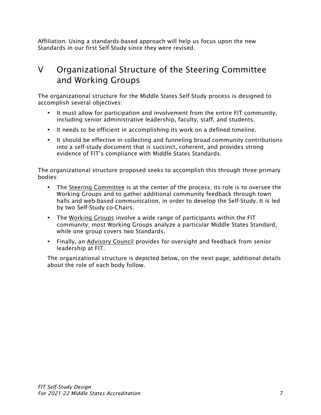Affiliation. Using a standards-based approach will help us focus upon the new Standards in our first Self-Study since they were revised.

# V Organizational Structure of the Steering Committee and Working Groups

The organizational structure for the Middle States Self-Study process is designed to accomplish several objectives:

- It must allow for participation and involvement from the entire FIT community, including senior administrative leadership, faculty, staff, and students.
- It needs to be efficient in accomplishing its work on a defined timeline.
- It should be effective in collecting and funneling broad community contributions into a self-study document that is succinct, coherent, and provides strong evidence of FIT's compliance with Middle States Standards.

The organizational structure proposed seeks to accomplish this through three primary bodies:

- The Steering Committee is at the center of the process; its role is to oversee the Working Groups and to gather additional community feedback through town halls and web-based communication, in order to develop the Self-Study. It is led by two Self-Study co-Chairs.
- The Working Groups involve a wide range of participants within the FIT community; most Working Groups analyze a particular Middle States Standard, while one group covers two Standards.
- Finally, an Advisory Council provides for oversight and feedback from senior leadership at FIT.

The organizational structure is depicted below, on the next page; additional details about the role of each body follow.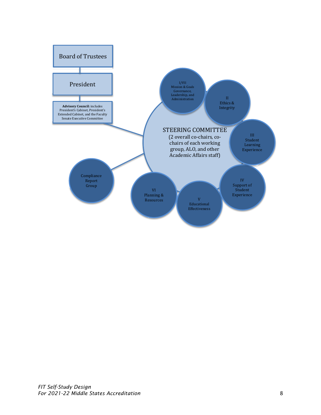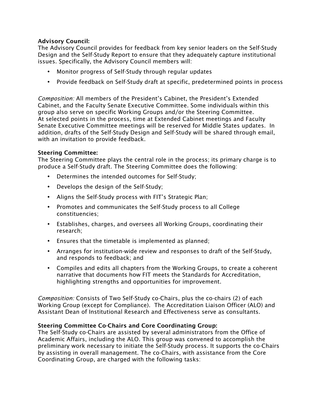### Advisory Council:

The Advisory Council provides for feedback from key senior leaders on the Self-Study Design and the Self-Study Report to ensure that they adequately capture institutional issues. Specifically, the Advisory Council members will:

- Monitor progress of Self-Study through regular updates
- Provide feedback on Self-Study draft at specific, predetermined points in process

*Composition:* All members of the President's Cabinet, the President's Extended Cabinet, and the Faculty Senate Executive Committee. Some individuals within this group also serve on specific Working Groups and/or the Steering Committee. At selected points in the process, time at Extended Cabinet meetings and Faculty Senate Executive Committee meetings will be reserved for Middle States updates. In addition, drafts of the Self-Study Design and Self-Study will be shared through email, with an invitation to provide feedback.

#### Steering Committee:

The Steering Committee plays the central role in the process; its primary charge is to produce a Self-Study draft. The Steering Committee does the following:

- Determines the intended outcomes for Self-Study;
- Develops the design of the Self-Study;
- Aligns the Self-Study process with FIT's Strategic Plan;
- Promotes and communicates the Self-Study process to all College constituencies;
- Establishes, charges, and oversees all Working Groups, coordinating their research;
- Ensures that the timetable is implemented as planned;
- Arranges for institution-wide review and responses to draft of the Self-Study, and responds to feedback; and
- Compiles and edits all chapters from the Working Groups, to create a coherent narrative that documents how FIT meets the Standards for Accreditation, highlighting strengths and opportunities for improvement.

*Composition:* Consists of Two Self-Study co-Chairs, plus the co-chairs (2) of each Working Group (except for Compliance). The Accreditation Liaison Officer (ALO) and Assistant Dean of Institutional Research and Effectiveness serve as consultants.

#### Steering Committee Co-Chairs and Core Coordinating Group:

The Self-Study co-Chairs are assisted by several administrators from the Office of Academic Affairs, including the ALO. This group was convened to accomplish the preliminary work necessary to initiate the Self-Study process. It supports the co-Chairs by assisting in overall management. The co-Chairs, with assistance from the Core Coordinating Group, are charged with the following tasks: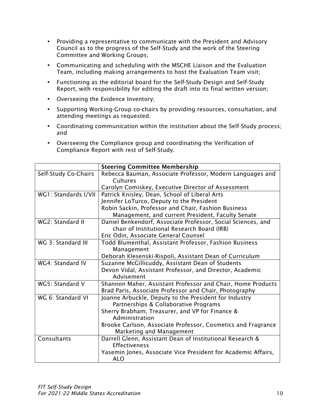- Providing a representative to communicate with the President and Advisory Council as to the progress of the Self-Study and the work of the Steering Committee and Working Groups;
- Communicating and scheduling with the MSCHE Liaison and the Evaluation Team, including making arrangements to host the Evaluation Team visit;
- Functioning as the editorial board for the Self-Study Design and Self-Study Report, with responsibility for editing the draft into its final written version;
- Overseeing the Evidence Inventory;
- Supporting Working-Group co-chairs by providing resources, consultation, and attending meetings as requested;
- Coordinating communication within the institution about the Self-Study process; and
- Overseeing the Compliance group and coordinating the Verification of Compliance Report with rest of Self-Study.

|                      | <b>Steering Committee Membership</b>                          |
|----------------------|---------------------------------------------------------------|
| Self-Study Co-Chairs | Rebecca Bauman, Associate Professor, Modern Languages and     |
|                      | Cultures                                                      |
|                      | Carolyn Comiskey, Executive Director of Assessment            |
| WG1: Standards I/VII | Patrick Knisley, Dean, School of Liberal Arts                 |
|                      | Jennifer LoTurco, Deputy to the President                     |
|                      | Robin Sackin, Professor and Chair, Fashion Business           |
|                      | Management, and current President, Faculty Senate             |
| WG2: Standard II     | Daniel Benkendorf, Associate Professor, Social Sciences, and  |
|                      | chair of Institutional Research Board (IRB)                   |
|                      | Eric Odin, Associate General Counsel                          |
| WG 3: Standard III   | Todd Blumenthal, Assistant Professor, Fashion Business        |
|                      | Management                                                    |
|                      | Deborah Klesenski-Rispoli, Assistant Dean of Curriculum       |
| WG4: Standard IV     | Suzanne McGillicuddy, Assistant Dean of Students              |
|                      | Devon Vidal, Assistant Professor, and Director, Academic      |
|                      | Advisement                                                    |
| WG5: Standard V      | Shannon Maher, Assistant Professor and Chair, Home Products   |
|                      | Brad Paris, Associate Professor and Chair, Photography        |
| WG 6: Standard VI    | Joanne Arbuckle, Deputy to the President for Industry         |
|                      | Partnerships & Collaborative Programs                         |
|                      | Sherry Brabham, Treasurer, and VP for Finance &               |
|                      | Administration                                                |
|                      | Brooke Carlson, Associate Professor, Cosmetics and Fragrance  |
|                      | Marketing and Management                                      |
| Consultants          | Darrell Glenn, Assistant Dean of Institutional Research &     |
|                      | <b>Effectiveness</b>                                          |
|                      | Yasemin Jones, Associate Vice President for Academic Affairs, |
|                      | <b>ALO</b>                                                    |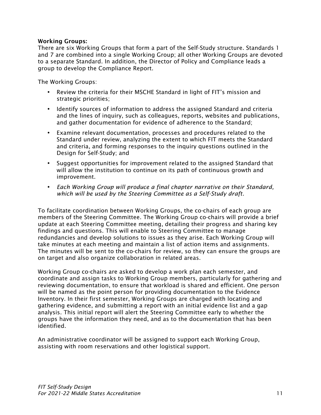#### Working Groups:

There are six Working Groups that form a part of the Self-Study structure. Standards 1 and 7 are combined into a single Working Group; all other Working Groups are devoted to a separate Standard. In addition, the Director of Policy and Compliance leads a group to develop the Compliance Report.

The Working Groups:

- Review the criteria for their MSCHE Standard in light of FIT's mission and strategic priorities;
- Identify sources of information to address the assigned Standard and criteria and the lines of inquiry, such as colleagues, reports, websites and publications, and gather documentation for evidence of adherence to the Standard;
- Examine relevant documentation, processes and procedures related to the Standard under review, analyzing the extent to which FIT meets the Standard and criteria, and forming responses to the inquiry questions outlined in the Design for Self-Study; and
- Suggest opportunities for improvement related to the assigned Standard that will allow the institution to continue on its path of continuous growth and improvement.
- *Each Working Group will produce a final chapter narrative on their Standard, which will be used by the Steering Committee as a Self-Study draft.*

To facilitate coordination between Working Groups, the co-chairs of each group are members of the Steering Committee. The Working Group co-chairs will provide a brief update at each Steering Committee meeting, detailing their progress and sharing key findings and questions. This will enable to Steering Committee to manage redundancies and develop solutions to issues as they arise. Each Working Group will take minutes at each meeting and maintain a list of action items and assignments. The minutes will be sent to the co-chairs for review, so they can ensure the groups are on target and also organize collaboration in related areas.

Working Group co-chairs are asked to develop a work plan each semester, and coordinate and assign tasks to Working Group members, particularly for gathering and reviewing documentation, to ensure that workload is shared and efficient. One person will be named as the point person for providing documentation to the Evidence Inventory. In their first semester, Working Groups are charged with locating and gathering evidence, and submitting a report with an initial evidence list and a gap analysis. This initial report will alert the Steering Committee early to whether the groups have the information they need, and as to the documentation that has been identified.

An administrative coordinator will be assigned to support each Working Group, assisting with room reservations and other logistical support.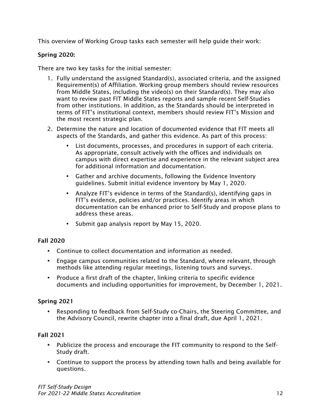This overview of Working Group tasks each semester will help guide their work:

# Spring 2020:

There are two key tasks for the initial semester:

- 1. Fully understand the assigned Standard(s), associated criteria, and the assigned Requirement(s) of Affiliation. Working group members should review resources from Middle States, including the video(s) on their Standard(s). They may also want to review past FIT Middle States reports and sample recent Self-Studies from other institutions. In addition, as the Standards should be interpreted in terms of FIT's institutional context, members should review FIT's Mission and the most recent strategic plan.
- 2. Determine the nature and location of documented evidence that FIT meets all aspects of the Standards, and gather this evidence. As part of this process:
	- List documents, processes, and procedures in support of each criteria. As appropriate, consult actively with the offices and individuals on campus with direct expertise and experience in the relevant subject area for additional information and documentation.
	- Gather and archive documents, following the Evidence Inventory guidelines. Submit initial evidence inventory by May 1, 2020.
	- Analyze FIT's evidence in terms of the Standard(s), identifying gaps in FIT's evidence, policies and/or practices. Identify areas in which documentation can be enhanced prior to Self-Study and propose plans to address these areas.
	- Submit gap analysis report by May 15, 2020.

### Fall 2020

- Continue to collect documentation and information as needed.
- Engage campus communities related to the Standard, where relevant, through methods like attending regular meetings, listening tours and surveys.
- Produce a first draft of the chapter, linking criteria to specific evidence documents and including opportunities for improvement, by December 1, 2021.

# Spring 2021

• Responding to feedback from Self-Study co-Chairs, the Steering Committee, and the Advisory Council, rewrite chapter into a final draft, due April 1, 2021.

# Fall 2021

- Publicize the process and encourage the FIT community to respond to the Self-Study draft.
- Continue to support the process by attending town halls and being available for questions.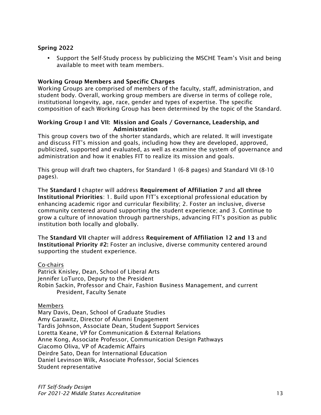### Spring 2022

• Support the Self-Study process by publicizing the MSCHE Team's Visit and being available to meet with team members.

#### Working Group Members and Specific Charges

Working Groups are comprised of members of the faculty, staff, administration, and student body. Overall, working group members are diverse in terms of college role, institutional longevity, age, race, gender and types of expertise. The specific composition of each Working Group has been determined by the topic of the Standard.

#### Working Group I and VII: Mission and Goals / Governance, Leadership, and Administration

This group covers two of the shorter standards, which are related. It will investigate and discuss FIT's mission and goals, including how they are developed, approved, publicized, supported and evaluated, as well as examine the system of governance and administration and how it enables FIT to realize its mission and goals.

This group will draft two chapters, for Standard 1 (6-8 pages) and Standard VII (8-10 pages).

The Standard I chapter will address Requirement of Affiliation 7 and all three Institutional Priorities: 1. Build upon FIT's exceptional professional education by enhancing academic rigor and curricular flexibility; 2. Foster an inclusive, diverse community centered around supporting the student experience; and 3. Continue to grow a culture of innovation through partnerships, advancing FIT's position as public institution both locally and globally.

The Standard VII chapter will address Requirement of Affiliation 12 and 13 and Institutional Priority #2: Foster an inclusive, diverse community centered around supporting the student experience.

#### Co-chairs

Patrick Knisley, Dean, School of Liberal Arts Jennifer LoTurco, Deputy to the President Robin Sackin, Professor and Chair, Fashion Business Management, and current President, Faculty Senate

#### Members

Mary Davis, Dean, School of Graduate Studies Amy Garawitz, Director of Alumni Engagement Tardis Johnson, Associate Dean, Student Support Services Loretta Keane, VP for Communication & External Relations Anne Kong, Associate Professor, Communication Design Pathways Giacomo Oliva, VP of Academic Affairs Deirdre Sato, Dean for International Education Daniel Levinson Wilk, Associate Professor, Social Sciences Student representative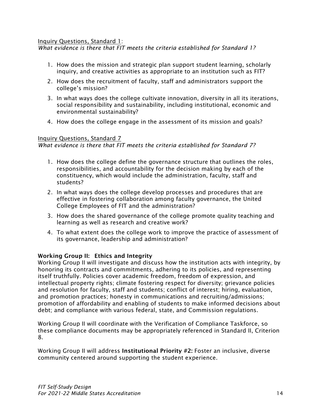#### Inquiry Questions, Standard 1:

*What evidence is there that FIT meets the criteria established for Standard 1?*

- 1. How does the mission and strategic plan support student learning, scholarly inquiry, and creative activities as appropriate to an institution such as FIT?
- 2. How does the recruitment of faculty, staff and administrators support the college's mission?
- 3. In what ways does the college cultivate innovation, diversity in all its iterations, social responsibility and sustainability, including institutional, economic and environmental sustainability?
- 4. How does the college engage in the assessment of its mission and goals?

#### Inquiry Questions, Standard 7

*What evidence is there that FIT meets the criteria established for Standard 7?*

- 1. How does the college define the governance structure that outlines the roles, responsibilities, and accountability for the decision making by each of the constituency, which would include the administration, faculty, staff and students?
- 2. In what ways does the college develop processes and procedures that are effective in fostering collaboration among faculty governance, the United College Employees of FIT and the administration?
- 3. How does the shared governance of the college promote quality teaching and learning as well as research and creative work?
- 4. To what extent does the college work to improve the practice of assessment of its governance, leadership and administration?

### Working Group II: Ethics and Integrity

Working Group II will investigate and discuss how the institution acts with integrity, by honoring its contracts and commitments, adhering to its policies, and representing itself truthfully. Policies cover academic freedom, freedom of expression, and intellectual property rights; climate fostering respect for diversity; grievance policies and resolution for faculty, staff and students; conflict of interest; hiring, evaluation, and promotion practices; honesty in communications and recruiting/admissions; promotion of affordability and enabling of students to make informed decisions about debt; and compliance with various federal, state, and Commission regulations.

Working Group II will coordinate with the Verification of Compliance Taskforce, so these compliance documents may be appropriately referenced in Standard II, Criterion 8.

Working Group II will address Institutional Priority #2: Foster an inclusive, diverse community centered around supporting the student experience.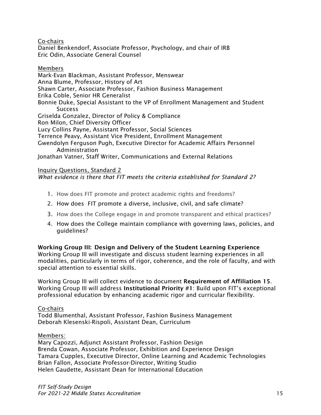Co-chairs

Daniel Benkendorf, Associate Professor, Psychology, and chair of IRB Eric Odin, Associate General Counsel

Members

Mark-Evan Blackman, Assistant Professor, Menswear Anna Blume, Professor, History of Art Shawn Carter, Associate Professor, Fashion Business Management Erika Coble, Senior HR Generalist Bonnie Duke, Special Assistant to the VP of Enrollment Management and Student **Success** Griselda Gonzalez, Director of Policy & Compliance Ron Milon, Chief Diversity Officer Lucy Collins Payne, Assistant Professor, Social Sciences Terrence Peavy, Assistant Vice President, Enrollment Management Gwendolyn Ferguson Pugh, Executive Director for Academic Affairs Personnel Administration

Jonathan Vatner, Staff Writer, Communications and External Relations

### Inquiry Questions, Standard 2

*What evidence is there that FIT meets the criteria established for Standard 2?*

- 1. How does FIT promote and protect academic rights and freedoms?
- 2. How does FIT promote a diverse, inclusive, civil, and safe climate?
- 3. How does the College engage in and promote transparent and ethical practices?
- 4. How does the College maintain compliance with governing laws, policies, and guidelines?

Working Group III: Design and Delivery of the Student Learning Experience Working Group III will investigate and discuss student learning experiences in all modalities, particularly in terms of rigor, coherence, and the role of faculty, and with special attention to essential skills.

Working Group III will collect evidence to document Requirement of Affiliation 15. Working Group III will address Institutional Priority #1: Build upon FIT's exceptional professional education by enhancing academic rigor and curricular flexibility.

Co-chairs

Todd Blumenthal, Assistant Professor, Fashion Business Management Deborah Klesenski-Rispoli, Assistant Dean, Curriculum

Members:

Mary Capozzi, Adjunct Assistant Professor, Fashion Design Brenda Cowan, Associate Professor, Exhibition and Experience Design Tamara Cupples, Executive Director, Online Learning and Academic Technologies Brian Fallon, Associate Professor-Director, Writing Studio Helen Gaudette, Assistant Dean for International Education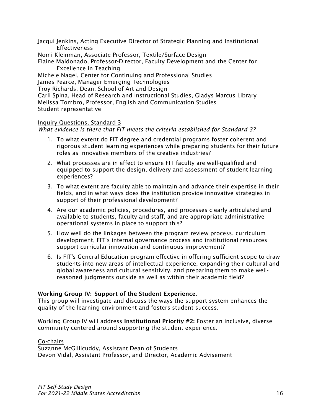Jacqui Jenkins, Acting Executive Director of Strategic Planning and Institutional **Effectiveness** 

Nomi Kleinman, Associate Professor, Textile/Surface Design

Elaine Maldonado, Professor-Director, Faculty Development and the Center for Excellence in Teaching

Michele Nagel, Center for Continuing and Professional Studies

James Pearce, Manager Emerging Technologies

Troy Richards, Dean, School of Art and Design

Carli Spina, Head of Research and Instructional Studies, Gladys Marcus Library Melissa Tombro, Professor, English and Communication Studies Student representative

### Inquiry Questions, Standard 3

*What evidence is there that FIT meets the criteria established for Standard 3?*

- 1. To what extent do FIT degree and credential programs foster coherent and rigorous student learning experiences while preparing students for their future roles as innovative members of the creative industries?
- 2. What processes are in effect to ensure FIT faculty are well-qualified and equipped to support the design, delivery and assessment of student learning experiences?
- 3. To what extent are faculty able to maintain and advance their expertise in their fields, and in what ways does the institution provide innovative strategies in support of their professional development?
- 4. Are our academic policies, procedures, and processes clearly articulated and available to students, faculty and staff, and are appropriate administrative operational systems in place to support this?
- 5. How well do the linkages between the program review process, curriculum development, FIT's internal governance process and institutional resources support curricular innovation and continuous improvement?
- 6. Is FIT's General Education program effective in offering sufficient scope to draw students into new areas of intellectual experience, expanding their cultural and global awareness and cultural sensitivity, and preparing them to make wellreasoned judgments outside as well as within their academic field?

#### Working Group IV: Support of the Student Experience.

This group will investigate and discuss the ways the support system enhances the quality of the learning environment and fosters student success.

Working Group IV will address **Institutional Priority #2:** Foster an inclusive, diverse community centered around supporting the student experience.

#### Co-chairs

Suzanne McGillicuddy, Assistant Dean of Students Devon Vidal, Assistant Professor, and Director, Academic Advisement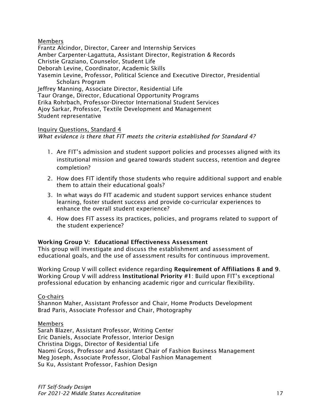#### Members

Frantz Alcindor, Director, Career and Internship Services Amber Carpenter-Lagattuta, Assistant Director, Registration & Records Christie Graziano, Counselor, Student Life Deborah Levine, Coordinator, Academic Skills Yasemin Levine, Professor, Political Science and Executive Director, Presidential Scholars Program Jeffrey Manning, Associate Director, Residential Life Taur Orange, Director, Educational Opportunity Programs Erika Rohrbach, Professor-Director International Student Services Ajoy Sarkar, Professor, Textile Development and Management Student representative

#### Inquiry Questions, Standard 4

*What evidence is there that FIT meets the criteria established for Standard 4?*

- 1. Are FIT's admission and student support policies and processes aligned with its institutional mission and geared towards student success, retention and degree completion?
- 2. How does FIT identify those students who require additional support and enable them to attain their educational goals?
- 3. In what ways do FIT academic and student support services enhance student learning, foster student success and provide co-curricular experiences to enhance the overall student experience?
- 4. How does FIT assess its practices, policies, and programs related to support of the student experience?

#### Working Group V: Educational Effectiveness Assessment

This group will investigate and discuss the establishment and assessment of educational goals, and the use of assessment results for continuous improvement.

Working Group V will collect evidence regarding Requirement of Affiliations 8 and 9. Working Group V will address Institutional Priority #1: Build upon FIT's exceptional professional education by enhancing academic rigor and curricular flexibility.

#### Co-chairs

Shannon Maher, Assistant Professor and Chair, Home Products Development Brad Paris, Associate Professor and Chair, Photography

Members Sarah Blazer, Assistant Professor, Writing Center Eric Daniels, Associate Professor, Interior Design Christina Diggs, Director of Residential Life Naomi Gross, Professor and Assistant Chair of Fashion Business Management Meg Joseph, Associate Professor, Global Fashion Management Su Ku, Assistant Professor, Fashion Design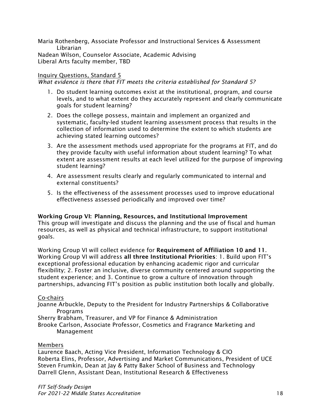Maria Rothenberg, Associate Professor and Instructional Services & Assessment Librarian Nadean Wilson, Counselor Associate, Academic Advising Liberal Arts faculty member, TBD

### Inquiry Questions, Standard 5

*What evidence is there that FIT meets the criteria established for Standard 5?*

- 1. Do student learning outcomes exist at the institutional, program, and course levels, and to what extent do they accurately represent and clearly communicate goals for student learning?
- 2. Does the college possess, maintain and implement an organized and systematic, faculty-led student learning assessment process that results in the collection of information used to determine the extent to which students are achieving stated learning outcomes?
- 3. Are the assessment methods used appropriate for the programs at FIT, and do they provide faculty with useful information about student learning? To what extent are assessment results at each level utilized for the purpose of improving student learning?
- 4. Are assessment results clearly and regularly communicated to internal and external constituents?
- 5. Is the effectiveness of the assessment processes used to improve educational effectiveness assessed periodically and improved over time?

#### Working Group VI: Planning, Resources, and Institutional Improvement

This group will investigate and discuss the planning and the use of fiscal and human resources, as well as physical and technical infrastructure, to support institutional goals.

Working Group VI will collect evidence for Requirement of Affiliation 10 and 11. Working Group VI will address all three Institutional Priorities: 1. Build upon FIT's exceptional professional education by enhancing academic rigor and curricular flexibility; 2. Foster an inclusive, diverse community centered around supporting the student experience; and 3. Continue to grow a culture of innovation through partnerships, advancing FIT's position as public institution both locally and globally.

#### Co-chairs

Joanne Arbuckle, Deputy to the President for Industry Partnerships & Collaborative Programs

Sherry Brabham, Treasurer, and VP for Finance & Administration

Brooke Carlson, Associate Professor, Cosmetics and Fragrance Marketing and Management

#### Members

Laurence Baach, Acting Vice President, Information Technology & CIO Roberta Elins, Professor, Advertising and Market Communications, President of UCE Steven Frumkin, Dean at Jay & Patty Baker School of Business and Technology Darrell Glenn, Assistant Dean, Institutional Research & Effectiveness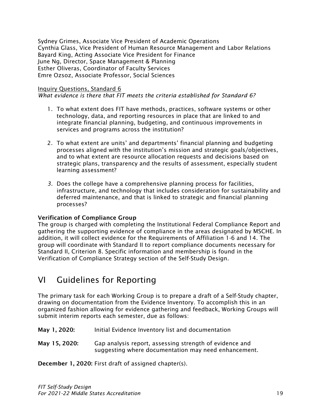Sydney Grimes, Associate Vice President of Academic Operations Cynthia Glass, Vice President of Human Resource Management and Labor Relations Bayard King, Acting Associate Vice President for Finance June Ng, Director, Space Management & Planning Esther Oliveras, Coordinator of Faculty Services Emre Ozsoz, Associate Professor, Social Sciences

#### Inquiry Questions, Standard 6

*What evidence is there that FIT meets the criteria established for Standard 6?*

- 1. To what extent does FIT have methods, practices, software systems or other technology, data, and reporting resources in place that are linked to and integrate financial planning, budgeting, and continuous improvements in services and programs across the institution?
- 2. To what extent are units' and departments' financial planning and budgeting processes aligned with the institution's mission and strategic goals/objectives, and to what extent are resource allocation requests and decisions based on strategic plans, transparency and the results of assessment, especially student learning assessment?
- *3.* Does the college have a comprehensive planning process for facilities, infrastructure, and technology that includes consideration for sustainability and deferred maintenance, and that is linked to strategic and financial planning processes?

### Verification of Compliance Group

The group is charged with completing the Institutional Federal Compliance Report and gathering the supporting evidence of compliance in the areas designated by MSCHE. In addition, it will collect evidence for the Requirements of Affiliation 1-6 and 14. The group will coordinate with Standard II to report compliance documents necessary for Standard II, Criterion 8. Specific information and membership is found in the Verification of Compliance Strategy section of the Self-Study Design.

# VI Guidelines for Reporting

The primary task for each Working Group is to prepare a draft of a Self-Study chapter, drawing on documentation from the Evidence Inventory. To accomplish this in an organized fashion allowing for evidence gathering and feedback, Working Groups will submit interim reports each semester, due as follows:

- May 1, 2020: Initial Evidence Inventory list and documentation
- May 15, 2020: Gap analysis report, assessing strength of evidence and suggesting where documentation may need enhancement.

December 1, 2020: First draft of assigned chapter(s).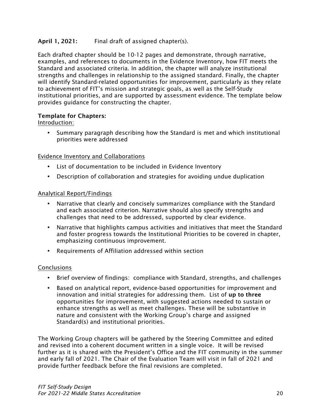### April 1, 2021: Final draft of assigned chapter(s).

Each drafted chapter should be 10-12 pages and demonstrate, through narrative, examples, and references to documents in the Evidence Inventory, how FIT meets the Standard and associated criteria. In addition, the chapter will analyze institutional strengths and challenges in relationship to the assigned standard. Finally, the chapter will identify Standard-related opportunities for improvement, particularly as they relate to achievement of FIT's mission and strategic goals, as well as the Self-Study institutional priorities, and are supported by assessment evidence. The template below provides guidance for constructing the chapter.

### Template for Chapters:

### Introduction:

• Summary paragraph describing how the Standard is met and which institutional priorities were addressed

#### Evidence Inventory and Collaborations

- List of documentation to be included in Evidence Inventory
- Description of collaboration and strategies for avoiding undue duplication

#### Analytical Report/Findings

- Narrative that clearly and concisely summarizes compliance with the Standard and each associated criterion. Narrative should also specify strengths and challenges that need to be addressed, supported by clear evidence.
- Narrative that highlights campus activities and initiatives that meet the Standard and foster progress towards the Institutional Priorities to be covered in chapter, emphasizing continuous improvement.
- Requirements of Affiliation addressed within section

### **Conclusions**

- Brief overview of findings: compliance with Standard, strengths, and challenges
- Based on analytical report, evidence-based opportunities for improvement and innovation and initial strategies for addressing them. List of up to three opportunities for improvement, with suggested actions needed to sustain or enhance strengths as well as meet challenges. These will be substantive in nature and consistent with the Working Group's charge and assigned Standard(s) and institutional priorities.

The Working Group chapters will be gathered by the Steering Committee and edited and revised into a coherent document written in a single voice. It will be revised further as it is shared with the President's Office and the FIT community in the summer and early fall of 2021. The Chair of the Evaluation Team will visit in fall of 2021 and provide further feedback before the final revisions are completed.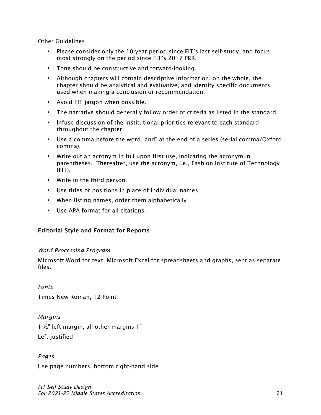#### Other Guidelines

- Please consider only the 10 year period since FIT's last self-study, and focus most strongly on the period since FIT's 2017 PRR.
- Tone should be constructive and forward-looking.
- Although chapters will contain descriptive information, on the whole, the chapter should be analytical and evaluative, and identify specific documents used when making a conclusion or recommendation.
- Avoid FIT jargon when possible.
- The narrative should generally follow order of criteria as listed in the standard.
- Infuse discussion of the institutional priorities relevant to each standard throughout the chapter.
- Use a comma before the word "and" at the end of a series (serial comma/Oxford comma).
- Write out an acronym in full upon first use, indicating the acronym in parentheses. Thereafter, use the acronym, i.e., Fashion Institute of Technology  $(FIT)$ .
- Write in the third person.
- Use titles or positions in place of individual names
- When listing names, order them alphabetically
- Use APA format for all citations.

### Editorial Style and Format for Reports

#### *Word Processing Program*

Microsoft Word for text; Microsoft Excel for spreadsheets and graphs, sent as separate files.

*Fonts* Times New Roman, 12 Point

*Margins*

1 ½" left margin; all other margins 1"

Left-justified

*Pages* Use page numbers, bottom right-hand side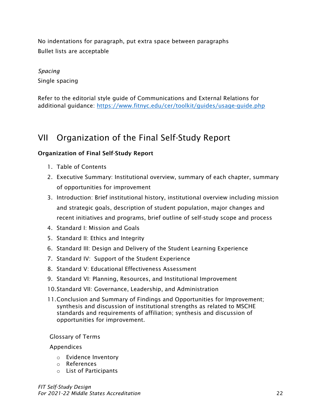No indentations for paragraph, put extra space between paragraphs Bullet lists are acceptable

# *Spacing* Single spacing

Refer to the editorial style guide of Communications and External Relations for additional guidance: https://www.fitnyc.edu/cer/toolkit/guides/usage-guide.php

# VII Organization of the Final Self-Study Report

# Organization of Final Self-Study Report

- 1. Table of Contents
- 2. Executive Summary: Institutional overview, summary of each chapter, summary of opportunities for improvement
- 3. Introduction: Brief institutional history, institutional overview including mission and strategic goals, description of student population, major changes and recent initiatives and programs, brief outline of self-study scope and process
- 4. Standard I: Mission and Goals
- 5. Standard II: Ethics and Integrity
- 6. Standard III: Design and Delivery of the Student Learning Experience
- 7. Standard IV: Support of the Student Experience
- 8. Standard V: Educational Effectiveness Assessment
- 9. Standard VI: Planning, Resources, and Institutional Improvement
- 10.Standard VII: Governance, Leadership, and Administration
- 11.Conclusion and Summary of Findings and Opportunities for Improvement; synthesis and discussion of institutional strengths as related to MSCHE standards and requirements of affiliation; synthesis and discussion of opportunities for improvement.

### Glossary of Terms

### Appendices

- o Evidence Inventory
- o References
- o List of Participants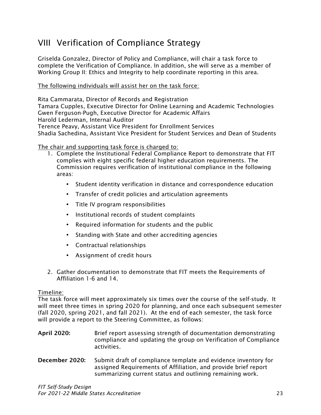# VIII Verification of Compliance Strategy

Griselda Gonzalez, Director of Policy and Compliance, will chair a task force to complete the Verification of Compliance. In addition, she will serve as a member of Working Group II: Ethics and Integrity to help coordinate reporting in this area.

### The following individuals will assist her on the task force:

Rita Cammarata, Director of Records and Registration Tamara Cupples, Executive Director for Online Learning and Academic Technologies Gwen Ferguson-Pugh, Executive Director for Academic Affairs Harold Lederman, Internal Auditor Terence Peavy, Assistant Vice President for Enrollment Services Shadia Sachedina, Assistant Vice President for Student Services and Dean of Students

The chair and supporting task force is charged to:

- 1. Complete the Institutional Federal Compliance Report to demonstrate that FIT complies with eight specific federal higher education requirements. The Commission requires verification of institutional compliance in the following areas:
	- Student identity verification in distance and correspondence education
	- Transfer of credit policies and articulation agreements
	- Title IV program responsibilities
	- Institutional records of student complaints
	- Required information for students and the public
	- Standing with State and other accrediting agencies
	- Contractual relationships
	- Assignment of credit hours
- 2. Gather documentation to demonstrate that FIT meets the Requirements of Affiliation 1-6 and 14.

#### Timeline:

The task force will meet approximately six times over the course of the self-study. It will meet three times in spring 2020 for planning, and once each subsequent semester (fall 2020, spring 2021, and fall 2021). At the end of each semester, the task force will provide a report to the Steering Committee, as follows:

- April 2020: Brief report assessing strength of documentation demonstrating compliance and updating the group on Verification of Compliance activities.
- December 2020: Submit draft of compliance template and evidence inventory for assigned Requirements of Affiliation, and provide brief report summarizing current status and outlining remaining work.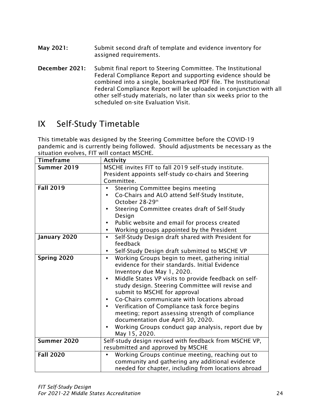- May 2021: Submit second draft of template and evidence inventory for assigned requirements.
- December 2021: Submit final report to Steering Committee. The Institutional Federal Compliance Report and supporting evidence should be combined into a single, bookmarked PDF file. The Institutional Federal Compliance Report will be uploaded in conjunction with all other self-study materials, no later than six weeks prior to the scheduled on-site Evaluation Visit.

# IX Self-Study Timetable

This timetable was designed by the Steering Committee before the COVID-19 pandemic and is currently being followed. Should adjustments be necessary as the situation evolves, FIT will contact MSCHE.

| <b>Timeframe</b> | <b>Activity</b>                                                                                                                                                                                                                                                                                                                                                                                                                                                                                                                                                                   |  |  |
|------------------|-----------------------------------------------------------------------------------------------------------------------------------------------------------------------------------------------------------------------------------------------------------------------------------------------------------------------------------------------------------------------------------------------------------------------------------------------------------------------------------------------------------------------------------------------------------------------------------|--|--|
| Summer 2019      | MSCHE invites FIT to fall 2019 self-study institute.                                                                                                                                                                                                                                                                                                                                                                                                                                                                                                                              |  |  |
|                  | President appoints self-study co-chairs and Steering<br>Committee.                                                                                                                                                                                                                                                                                                                                                                                                                                                                                                                |  |  |
| <b>Fall 2019</b> | Steering Committee begins meeting<br>Co-Chairs and ALO attend Self-Study Institute,<br>٠<br>October 28-29th<br>Steering Committee creates draft of Self-Study<br>$\bullet$<br>Design<br>Public website and email for process created<br>Working groups appointed by the President<br>$\bullet$                                                                                                                                                                                                                                                                                    |  |  |
| January 2020     | Self-Study Design draft shared with President for<br>$\bullet$<br>feedback                                                                                                                                                                                                                                                                                                                                                                                                                                                                                                        |  |  |
|                  | Self-Study Design draft submitted to MSCHE VP<br>٠                                                                                                                                                                                                                                                                                                                                                                                                                                                                                                                                |  |  |
| Spring 2020      | Working Groups begin to meet, gathering initial<br>$\bullet$<br>evidence for their standards. Initial Evidence<br>Inventory due May 1, 2020.<br>Middle States VP visits to provide feedback on self-<br>$\bullet$<br>study design. Steering Committee will revise and<br>submit to MSCHE for approval<br>Co-Chairs communicate with locations abroad<br>Verification of Compliance task force begins<br>$\bullet$<br>meeting; report assessing strength of compliance<br>documentation due April 30, 2020.<br>Working Groups conduct gap analysis, report due by<br>May 15, 2020. |  |  |
| Summer 2020      | Self-study design revised with feedback from MSCHE VP,<br>resubmitted and approved by MSCHE                                                                                                                                                                                                                                                                                                                                                                                                                                                                                       |  |  |
| <b>Fall 2020</b> | Working Groups continue meeting, reaching out to<br>$\bullet$<br>community and gathering any additional evidence<br>needed for chapter, including from locations abroad                                                                                                                                                                                                                                                                                                                                                                                                           |  |  |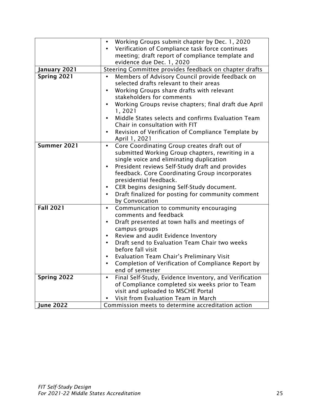|                  | Working Groups submit chapter by Dec. 1, 2020<br>$\bullet$          |
|------------------|---------------------------------------------------------------------|
|                  | Verification of Compliance task force continues                     |
|                  | meeting; draft report of compliance template and                    |
|                  | evidence due Dec. 1, 2020                                           |
| January 2021     | Steering Committee provides feedback on chapter drafts              |
| Spring 2021      | Members of Advisory Council provide feedback on                     |
|                  | selected drafts relevant to their areas                             |
|                  | Working Groups share drafts with relevant<br>$\bullet$              |
|                  | stakeholders for comments                                           |
|                  | Working Groups revise chapters; final draft due April<br>$\bullet$  |
|                  | 1,2021                                                              |
|                  | Middle States selects and confirms Evaluation Team<br>$\bullet$     |
|                  | Chair in consultation with FIT                                      |
|                  | Revision of Verification of Compliance Template by<br>$\bullet$     |
|                  | April 1, 2021                                                       |
| Summer 2021      | Core Coordinating Group creates draft out of<br>$\bullet$           |
|                  | submitted Working Group chapters, rewriting in a                    |
|                  | single voice and eliminating duplication                            |
|                  | President reviews Self-Study draft and provides<br>$\bullet$        |
|                  | feedback. Core Coordinating Group incorporates                      |
|                  | presidential feedback.                                              |
|                  | CER begins designing Self-Study document.<br>$\bullet$              |
|                  | Draft finalized for posting for community comment<br>$\bullet$      |
|                  | by Convocation                                                      |
| <b>Fall 2021</b> | Communication to community encouraging<br>$\bullet$                 |
|                  | comments and feedback                                               |
|                  | Draft presented at town halls and meetings of                       |
|                  | campus groups                                                       |
|                  | Review and audit Evidence Inventory<br>$\bullet$                    |
|                  | Draft send to Evaluation Team Chair two weeks<br>$\bullet$          |
|                  | before fall visit                                                   |
|                  | <b>Evaluation Team Chair's Preliminary Visit</b><br>$\bullet$       |
|                  | Completion of Verification of Compliance Report by<br>$\bullet$     |
|                  | end of semester                                                     |
| Spring 2022      | Final Self-Study, Evidence Inventory, and Verification<br>$\bullet$ |
|                  | of Compliance completed six weeks prior to Team                     |
|                  | visit and uploaded to MSCHE Portal                                  |
|                  | Visit from Evaluation Team in March                                 |
| <b>Iune 2022</b> | Commission meets to determine accreditation action                  |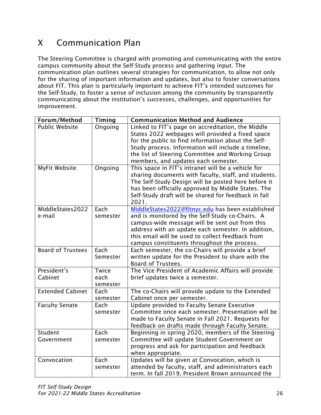# X Communication Plan

The Steering Committee is charged with promoting and communicating with the entire campus community about the Self-Study process and gathering input. The communication plan outlines several strategies for communication, to allow not only for the sharing of important information and updates, but also to foster conversations about FIT. This plan is particularly important to achieve FIT's intended outcomes for the Self-Study, to foster a sense of inclusion among the community by transparently communicating about the institution's successes, challenges, and opportunities for improvement.

| Forum/Method               | Timing                    | <b>Communication Method and Audience</b>                                                                                                                                                                                                                                                                       |
|----------------------------|---------------------------|----------------------------------------------------------------------------------------------------------------------------------------------------------------------------------------------------------------------------------------------------------------------------------------------------------------|
| <b>Public Website</b>      | Ongoing                   | Linked to FIT's page on accreditation, the Middle<br>States 2022 webpages will provided a fixed space<br>for the public to find information about the Self-<br>Study process. Information will include a timeline,<br>the list of Steering Committee and Working Group<br>members, and updates each semester.  |
| <b>MyFit Website</b>       | Ongoing                   | This space in FIT's intranet will be a vehicle for<br>sharing documents with faculty, staff, and students.<br>The Self-Study Design will be posted here before it<br>has been officially approved by Middle States. The<br>Self-Study draft will be shared for feedback in fall<br>2021.                       |
| MiddleStates2022<br>e-mail | Each<br>semester          | MiddleStates2022@fitnyc.edu has been established<br>and is monitored by the Self-Study co-Chairs. A<br>campus-wide message will be sent out from this<br>address with an update each semester. In addition,<br>this email will be used to collect feedback from<br>campus constituents throughout the process. |
| <b>Board of Trustees</b>   | Each<br>Semester          | Each semester, the co-Chairs will provide a brief<br>written update for the President to share with the<br>Board of Trustees.                                                                                                                                                                                  |
| President's<br>Cabinet     | Twice<br>each<br>semester | The Vice President of Academic Affairs will provide<br>brief updates twice a semester.                                                                                                                                                                                                                         |
| <b>Extended Cabinet</b>    | Each<br>semester          | The co-Chairs will provide update to the Extended<br>Cabinet once per semester.                                                                                                                                                                                                                                |
| <b>Faculty Senate</b>      | Each<br>semester          | Update provided to Faculty Senate Executive<br>Committee once each semester. Presentation will be<br>made to Faculty Senate in Fall 2021. Requests for<br>feedback on drafts made through Faculty Senate.                                                                                                      |
| Student<br>Government      | Each<br>semester          | Beginning in spring 2020, members of the Steering<br>Committee will update Student Government on<br>progress and ask for participation and feedback<br>when appropriate.                                                                                                                                       |
| Convocation                | Each<br>semester          | Updates will be given at Convocation, which is<br>attended by faculty, staff, and administrators each<br>term. In fall 2019, President Brown announced the                                                                                                                                                     |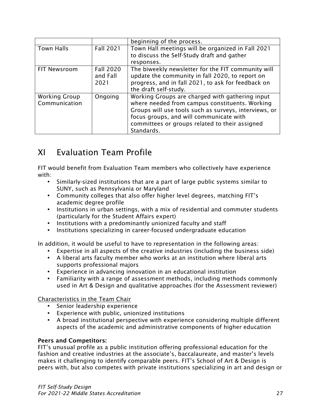|                      |                  | beginning of the process.                             |
|----------------------|------------------|-------------------------------------------------------|
| <b>Town Halls</b>    | <b>Fall 2021</b> | Town Hall meetings will be organized in Fall 2021     |
|                      |                  | to discuss the Self-Study draft and gather            |
|                      |                  | responses.                                            |
| FIT Newsroom         | <b>Fall 2020</b> | The biweekly newsletter for the FIT community will    |
|                      | and Fall         | update the community in fall 2020, to report on       |
|                      | 2021             | progress, and in fall 2021, to ask for feedback on    |
|                      |                  | the draft self-study.                                 |
| <b>Working Group</b> | Ongoing          | Working Groups are charged with gathering input       |
| Communication        |                  | where needed from campus constituents. Working        |
|                      |                  | Groups will use tools such as surveys, interviews, or |
|                      |                  | focus groups, and will communicate with               |
|                      |                  | committees or groups related to their assigned        |
|                      |                  | Standards.                                            |

# XI Evaluation Team Profile

FIT would benefit from Evaluation Team members who collectively have experience with:

- Similarly-sized institutions that are a part of large public systems similar to SUNY, such as Pennsylvania or Maryland
- Community colleges that also offer higher level degrees, matching FIT's academic degree profile
- Institutions in urban settings, with a mix of residential and commuter students (particularly for the Student Affairs expert)
- Institutions with a predominantly unionized faculty and staff
- Institutions specializing in career-focused undergraduate education

In addition, it would be useful to have to representation in the following areas:

- Expertise in all aspects of the creative industries (including the business side)
- A liberal arts faculty member who works at an institution where liberal arts supports professional majors
- Experience in advancing innovation in an educational institution
- Familiarity with a range of assessment methods, including methods commonly used in Art & Design and qualitative approaches (for the Assessment reviewer)

Characteristics in the Team Chair

- Senior leadership experience
- Experience with public, unionized institutions
- A broad institutional perspective with experience considering multiple different aspects of the academic and administrative components of higher education

### Peers and Competitors:

FIT's unusual profile as a public institution offering professional education for the fashion and creative industries at the associate's, baccalaureate, and master's levels makes it challenging to identify comparable peers. FIT's School of Art & Design is peers with, but also competes with private institutions specializing in art and design or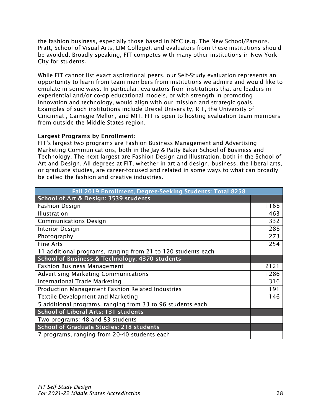the fashion business, especially those based in NYC (e.g. The New School/Parsons, Pratt, School of Visual Arts, LIM College), and evaluators from these institutions should be avoided. Broadly speaking, FIT competes with many other institutions in New York City for students.

While FIT cannot list exact aspirational peers, our Self-Study evaluation represents an opportunity to learn from team members from institutions we admire and would like to emulate in some ways. In particular, evaluators from institutions that are leaders in experiential and/or co-op educational models, or with strength in promoting innovation and technology, would align with our mission and strategic goals. Examples of such institutions include Drexel University, RIT, the University of Cincinnati, Carnegie Mellon, and MIT. FIT is open to hosting evaluation team members from outside the Middle States region.

#### Largest Programs by Enrollment:

FIT's largest two programs are Fashion Business Management and Advertising Marketing Communications, both in the Jay & Patty Baker School of Business and Technology. The next largest are Fashion Design and Illustration, both in the School of Art and Design. All degrees at FIT, whether in art and design, business, the liberal arts, or graduate studies, are career-focused and related in some ways to what can broadly be called the fashion and creative industries.

| Fall 2019 Enrollment, Degree-Seeking Students: Total 8258    |      |
|--------------------------------------------------------------|------|
| School of Art & Design: 3539 students                        |      |
| <b>Fashion Design</b>                                        | 1168 |
| <b>Illustration</b>                                          | 463  |
| <b>Communications Design</b>                                 | 332  |
| <b>Interior Design</b>                                       | 288  |
| Photography                                                  | 273  |
| <b>Fine Arts</b>                                             | 254  |
| 11 additional programs, ranging from 21 to 120 students each |      |
| <b>School of Business &amp; Technology: 4370 students</b>    |      |
| <b>Fashion Business Management</b>                           | 2121 |
| <b>Advertising Marketing Communications</b>                  | 1286 |
| <b>International Trade Marketing</b>                         | 316  |
| Production Management Fashion Related Industries             | 191  |
| <b>Textile Development and Marketing</b>                     | 146  |
| 5 additional programs, ranging from 33 to 96 students each   |      |
| <b>School of Liberal Arts: 131 students</b>                  |      |
| Two programs: 48 and 83 students                             |      |
| <b>School of Graduate Studies: 218 students</b>              |      |
| 7 programs, ranging from 20-40 students each                 |      |